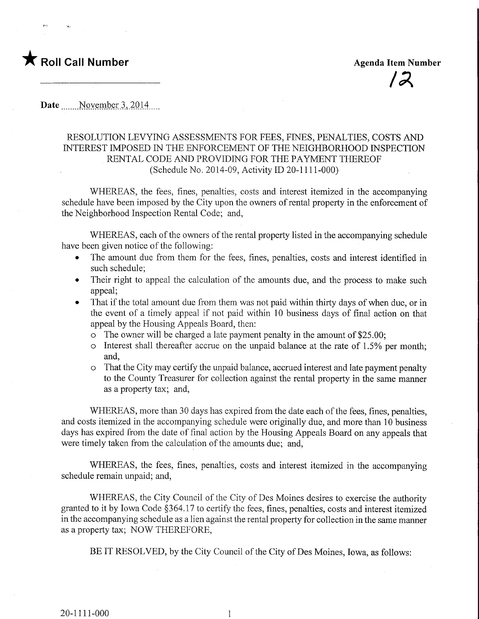

Date November 3, 2014

## RESOLUTION LEVYING ASSESSMENTS FOR FEES, FINES, PENALTIES, COSTS AND INTEREST IMPOSED IN THE ENFORCEMENT OF THE NEIGHBORHOOD INSPECTION RENTAL CODE AND PROVIDING FOR THE PAYMENT THEREOF (Schedule No. 2014-09, Activity ID 20-1111-000)

WHEREAS, the fees, fines, penalties, costs and interest itemized in the accompanying schedule have been imposed by the City upon the owners of rental property in the enforcement of the Neighborhood Inspection Rental Code; and,

WHEREAS, each of the owners of the rental property listed in the accompanying schedule have been given notice of the following:

- The amount due from them for the fees, fines, penalties, costs and interest identified in such schedule;
- Their right to appeal the calculation of the amounts due, and the process to make such appeal;
- That if the total amount due from them was not paid within thirty days of when due, or in the event of a timely appeal if not paid within 10 business days of final action on that appeal by the Housing Appeals Board, then:
	- o The owner will be charged a late payment penalty in the amount of \$25.00;
	- o Interest shall thereafter accrue on the unpaid balance at the rate of 1.5% per month; and,
	- o That the City may certify the unpaid balance, accrued interest and late payment penalty to the County Treasurer for collection against the rental property in the same manner as a property tax; and,

WHEREAS, more than 30 days has expired from the date each of the fees, fines, penalties, and costs itemized in the accompanying schedule were originally due, and more than 10 business days has expired from the date of final action by the Housing Appeals Board on any appeals that were timely taken from the calculation of the amounts due; and,

WHEREAS, the fees, fines, penalties, costs and interest itemized in the accompanying schedule remain unpaid; and,

WHEREAS, the City Council of the City of Des Moines desires to exercise the authority granted to it by Iowa Code §364.17 to certify the fees, fines, penalties, costs and interest itemized in the accompanying schedule as a lien against the rental property for collection in the same manner as a property tax; NOW THEREFORE,

BE IT RESOLVED, by the City Council of the City of Des Moines, Iowa, as follows:

 $\mathbf{1}$